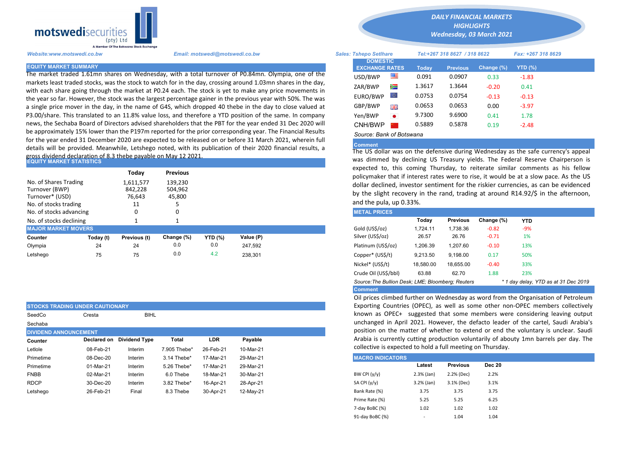

The market traded 1.61mn shares on Wednesday, with a total turnover of P0.84mn. Olympia, one of the markets least traded stocks, was the stock to watch for in the day, crossing around 1.03mn shares in the day, with each share going through the market at P0.24 each. The stock is yet to make any price movements in the year so far. However, the stock was the largest percentage gainer in the previous year with 50%. The was a single price mover in the day, in the name of G4S, which dropped 40 thebe in the day to close valued at P3.00/share. This translated to an 11.8% value loss, and therefore a YTD position of the same. In company news, the Sechaba Board of Directors advised shareholders that the PBT for the year ended 31 Dec 2020 will be approximately 15% lower than the P197m reported for the prior corresponding year. The Financial Results for the year ended 31 December 2020 are expected to be released on or before 31 March 2021, wherein full details will be provided. Meanwhile, Letshego noted, with its publication of their 2020 financial results, a gross dividend declaration of 8.3 thebe payable on May 12 2021.

| IEQUITY MARKET STATISTICS                                                           |                                      |                              |                 |                |                                                                                                                                                                        | was unnined by declining US Treasury yields. The rederal Reserve                                                                          |          |                 |            |            |  |
|-------------------------------------------------------------------------------------|--------------------------------------|------------------------------|-----------------|----------------|------------------------------------------------------------------------------------------------------------------------------------------------------------------------|-------------------------------------------------------------------------------------------------------------------------------------------|----------|-----------------|------------|------------|--|
|                                                                                     |                                      | Todav                        | <b>Previous</b> |                |                                                                                                                                                                        | expected to, this coming Thursday, to reiterate similar comment<br>policymaker that if interest rates were to rise, it would be at a slow |          |                 |            |            |  |
| No. of Shares Trading<br>Turnover (BWP)<br>Turnover* (USD)<br>No. of stocks trading | 1,611,577<br>842.228<br>76,643<br>11 | 139.230<br>504,962<br>45,800 |                 |                | dollar declined, investor sentiment for the riskier currencies, as ca<br>by the slight recovery in the rand, trading at around R14.92/\$ in<br>and the pula, up 0.33%. |                                                                                                                                           |          |                 |            |            |  |
| No. of stocks advancing                                                             |                                      |                              | 0               |                |                                                                                                                                                                        | <b>METAL PRICES</b>                                                                                                                       |          |                 |            |            |  |
| No. of stocks declining                                                             |                                      |                              |                 |                |                                                                                                                                                                        |                                                                                                                                           | Today    | <b>Previous</b> | Change (%) | <b>YTD</b> |  |
| <b>MAJOR MARKET MOVERS</b>                                                          |                                      |                              |                 |                |                                                                                                                                                                        | Gold (US\$/oz)                                                                                                                            | 1.724.11 | 1.738.36        | $-0.82$    | $-9%$      |  |
| Counter                                                                             | Today (t)                            | Previous (t)                 | Change (%)      | <b>YTD</b> (%) | Value (P)                                                                                                                                                              | Silver (US\$/oz)                                                                                                                          | 26.57    | 26.76           | $-0.71$    | 1%         |  |
| Olympia                                                                             | 24                                   | 24                           | 0.0             | 0.0            | 247.592                                                                                                                                                                | Platinum (US\$/oz)                                                                                                                        | 1,206.39 | 1.207.60        | $-0.10$    | 13%        |  |
| Letshego                                                                            | 75                                   | 75                           | 0.0             | 4.2            | 238.301                                                                                                                                                                | Copper* (US\$/t)                                                                                                                          | 9,213.50 | 9.198.00        | 0.17       | 50%        |  |

|                              | <b>STOCKS TRADING UNDER CAUTIONARY</b> |                      |              |            |           | Exporting Countries (OPEC), as well as some other       |              |                 |               |
|------------------------------|----------------------------------------|----------------------|--------------|------------|-----------|---------------------------------------------------------|--------------|-----------------|---------------|
| SeedCo                       | Cresta                                 | <b>BIHL</b>          |              |            |           | known as OPEC+ suggested that some members              |              |                 |               |
| Sechaba                      |                                        |                      |              |            |           | unchanged in April 2021. However, the defacto lea       |              |                 |               |
| <b>DIVIDEND ANNOUNCEMENT</b> |                                        |                      |              |            |           | position on the matter of whether to extend or eno      |              |                 |               |
| Counter                      | Declared on                            | <b>Dividend Type</b> | Total        | <b>LDR</b> | Payable   | Arabia is currently cutting production voluntarily of a |              |                 |               |
| Letlole                      | 08-Feb-21                              | Interim              | 7.905 Thebe* | 26-Feb-21  | 10-Mar-21 | collective is expected to hold a full meeting on Thursd |              |                 |               |
| Primetime                    | 08-Dec-20                              | Interim              | 3.14 Thebe*  | 17-Mar-21  | 29-Mar-21 | <b>MACRO INDICATORS</b>                                 |              |                 |               |
| Primetime                    | 01-Mar-21                              | Interim              | 5.26 Thebe*  | 17-Mar-21  | 29-Mar-21 |                                                         | Latest       | <b>Previous</b> | <b>Dec 20</b> |
| <b>FNBB</b>                  | 02-Mar-21                              | Interim              | 6.0 Thebe    | 18-Mar-21  | 30-Mar-21 | BW CPI $(y/y)$                                          | $2.3%$ (Jan) | 2.2% (Dec)      | 2.2%          |
| <b>RDCP</b>                  | 30-Dec-20                              | Interim              | 3.82 Thebe*  | 16-Apr-21  | 28-Apr-21 | SA CPI (y/y)                                            | 3.2% (Jan)   | 3.1% (Dec)      | 3.1%          |
| Letshego                     | 26-Feb-21                              | Final                | 8.3 Thebe    | 30-Apr-21  | 12-May-21 | Bank Rate (%)                                           | 3.75         | 3.75            | 3.75          |

*DAILY FINANCIAL MARKETS*

*HIGHLIGHTS Wednesday, 03 March 2021* 

*Website:www.motswedi.co.bw Email: motswedi@motswedi.co.bw Sales: Tshepo Setlhare Tel:+267 318 8627 / 318 8622 Fax: +267 318 8629* 

| <u>Enan, motowearman and concented</u> |                                                                                                                                                                                                                                                                                                                                                                                                                                                                                                                                                                                                                                                                                                                                                                                                                                                                                                       |                                          |                                                                                 |                                                        |                            | ,                                                                                         |                 |
|----------------------------------------|-------------------------------------------------------------------------------------------------------------------------------------------------------------------------------------------------------------------------------------------------------------------------------------------------------------------------------------------------------------------------------------------------------------------------------------------------------------------------------------------------------------------------------------------------------------------------------------------------------------------------------------------------------------------------------------------------------------------------------------------------------------------------------------------------------------------------------------------------------------------------------------------------------|------------------------------------------|---------------------------------------------------------------------------------|--------------------------------------------------------|----------------------------|-------------------------------------------------------------------------------------------|-----------------|
|                                        |                                                                                                                                                                                                                                                                                                                                                                                                                                                                                                                                                                                                                                                                                                                                                                                                                                                                                                       |                                          |                                                                                 |                                                        |                            |                                                                                           |                 |
|                                        |                                                                                                                                                                                                                                                                                                                                                                                                                                                                                                                                                                                                                                                                                                                                                                                                                                                                                                       |                                          | Today                                                                           | <b>Previous</b>                                        | Change (%)                 | YTD (%)                                                                                   |                 |
|                                        |                                                                                                                                                                                                                                                                                                                                                                                                                                                                                                                                                                                                                                                                                                                                                                                                                                                                                                       | 匷                                        | 0.091                                                                           | 0.0907                                                 | 0.33                       | $-1.83$                                                                                   |                 |
|                                        |                                                                                                                                                                                                                                                                                                                                                                                                                                                                                                                                                                                                                                                                                                                                                                                                                                                                                                       |                                          |                                                                                 |                                                        |                            |                                                                                           |                 |
|                                        |                                                                                                                                                                                                                                                                                                                                                                                                                                                                                                                                                                                                                                                                                                                                                                                                                                                                                                       |                                          |                                                                                 |                                                        |                            |                                                                                           |                 |
|                                        |                                                                                                                                                                                                                                                                                                                                                                                                                                                                                                                                                                                                                                                                                                                                                                                                                                                                                                       |                                          |                                                                                 |                                                        |                            |                                                                                           |                 |
|                                        |                                                                                                                                                                                                                                                                                                                                                                                                                                                                                                                                                                                                                                                                                                                                                                                                                                                                                                       | 꾉뽅                                       |                                                                                 |                                                        | 0.00                       | $-3.97$                                                                                   |                 |
|                                        |                                                                                                                                                                                                                                                                                                                                                                                                                                                                                                                                                                                                                                                                                                                                                                                                                                                                                                       | $\bullet$                                | 9.7300                                                                          | 9.6900                                                 | 0.41                       | 1.78                                                                                      |                 |
|                                        |                                                                                                                                                                                                                                                                                                                                                                                                                                                                                                                                                                                                                                                                                                                                                                                                                                                                                                       |                                          | 0.5889                                                                          | 0.5878                                                 | 0.19                       | $-2.48$                                                                                   |                 |
|                                        |                                                                                                                                                                                                                                                                                                                                                                                                                                                                                                                                                                                                                                                                                                                                                                                                                                                                                                       |                                          |                                                                                 |                                                        |                            |                                                                                           |                 |
|                                        | The market traded 1.61mn shares on Wednesday, with a total turnover of P0.84mn. Olympia, one of the<br>markets least traded stocks, was the stock to watch for in the day, crossing around 1.03mn shares in the day,<br>with each share going through the market at P0.24 each. The stock is yet to make any price movements in<br>the year so far. However, the stock was the largest percentage gainer in the previous year with 50%. The was<br>a single price mover in the day, in the name of G4S, which dropped 40 thebe in the day to close valued at<br>23.00/share. This translated to an 11.8% value loss, and therefore a YTD position of the same. In company<br>news, the Sechaba Board of Directors advised shareholders that the PBT for the year ended 31 Dec 2020 will<br>oe approximately 15% lower than the P197m reported for the prior corresponding year. The Financial Results | USD/BWP<br>ZAR/BWP<br>GBP/BWP<br>Yen/BWP | <b>DOMESTIC</b><br><b>EXCHANGE RATES</b><br>Ň<br>$\circ$<br>EURO/BWP<br>CNH/BWP | 1.3617<br>0.0753<br>0.0653<br>Source: Bank of Botswana | 1.3644<br>0.0754<br>0.0653 | <u>Udica, iancho Uctinum</u><br>$101.2201$ viv vvli $7010$ vid vvli<br>$-0.20$<br>$-0.13$ | 0.41<br>$-0.13$ |

## **Comment**

The US dollar was on the defensive during Wednesday as the safe currency's appeal was dimmed by declining US Treasury yields. The Federal Reserve Chairperson is expected to, this coming Thursday, to reiterate similar comments as his fellow policymaker that if interest rates were to rise, it would be at a slow pace. As the US dollar declined, investor sentiment for the riskier currencies, as can be evidenced by the slight recovery in the rand, trading at around R14.92/\$ in the afternoon, and the pula, up 0.33%.

| <b>METAL PRICES</b>                               |           |                 |            |            |                                      |  |
|---------------------------------------------------|-----------|-----------------|------------|------------|--------------------------------------|--|
|                                                   | Today     | <b>Previous</b> | Change (%) | <b>YTD</b> |                                      |  |
| Gold (US\$/oz)                                    | 1.724.11  | 1.738.36        | $-0.82$    | $-9%$      |                                      |  |
| Silver (US\$/oz)                                  | 26.57     | 26.76           | $-0.71$    | 1%         |                                      |  |
| Platinum (US\$/oz)                                | 1.206.39  | 1.207.60        | $-0.10$    | 13%        |                                      |  |
| Copper* (US\$/t)                                  | 9.213.50  | 9.198.00        | 0.17       | 50%        |                                      |  |
| Nickel* (US\$/t)                                  | 18,580.00 | 18.655.00       | $-0.40$    | 33%        |                                      |  |
| Crude Oil (US\$/bbl)                              | 63.88     | 62.70           | 1.88       | 23%        |                                      |  |
| Source: The Bullion Desk; LME; Bloomberg: Reuters |           |                 |            |            | * 1 day delay, YTD as at 31 Dec 2019 |  |
| <b>Comment</b>                                    |           |                 |            |            |                                      |  |

Oil prices climbed further on Wednesday as word from the Organisation of Petroleum Exporting Countries (OPEC), as well as some other non-OPEC members collectively known as OPEC+ suggested that some members were considering leaving output unchanged in April 2021. However, the defacto leader of the cartel, Saudi Arabia's position on the matter of whether to extend or end the voluntary is unclear. Saudi Arabia is currently cutting production voluntarily of abouty 1mn barrels per day. The collective is expected to hold a full meeting on Thursday.

| <b>MACRO INDICATORS</b> |                          |                 |               |
|-------------------------|--------------------------|-----------------|---------------|
|                         | Latest                   | <b>Previous</b> | <b>Dec 20</b> |
| BW CPI $(y/y)$          | $2.3%$ (Jan)             | 2.2% (Dec)      | 2.2%          |
| SA CPI (y/y)            | $3.2%$ (Jan)             | 3.1% (Dec)      | 3.1%          |
| Bank Rate (%)           | 3.75                     | 3.75            | 3.75          |
| Prime Rate (%)          | 5.25                     | 5.25            | 6.25          |
| 7-day BoBC (%)          | 1.02                     | 1.02            | 1.02          |
| 91-day BoBC (%)         | $\overline{\phantom{a}}$ | 1.04            | 1.04          |